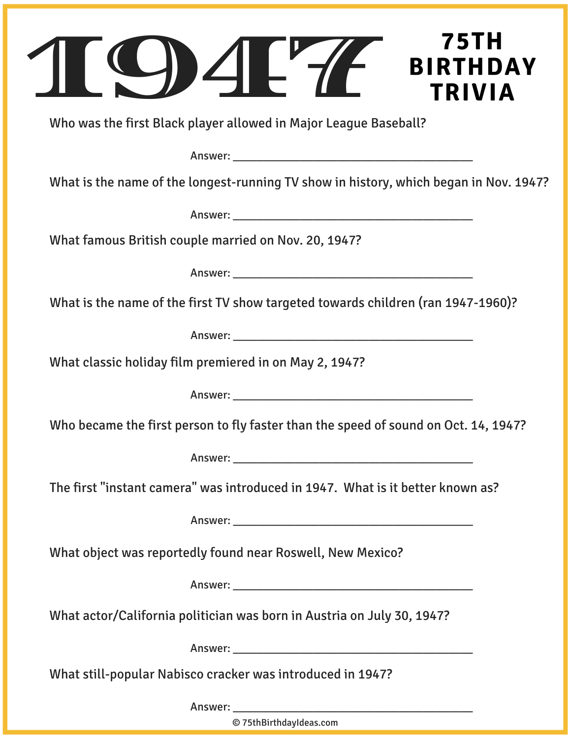| 75TH<br><b>BIRTHDAY</b><br><b>TRIVIA</b>                                                                                                                                                                                       |
|--------------------------------------------------------------------------------------------------------------------------------------------------------------------------------------------------------------------------------|
| Who was the first Black player allowed in Major League Baseball?                                                                                                                                                               |
|                                                                                                                                                                                                                                |
| What is the name of the longest-running TV show in history, which began in Nov. 1947?                                                                                                                                          |
|                                                                                                                                                                                                                                |
| What famous British couple married on Nov. 20, 1947?                                                                                                                                                                           |
|                                                                                                                                                                                                                                |
| What is the name of the first TV show targeted towards children (ran 1947-1960)?                                                                                                                                               |
|                                                                                                                                                                                                                                |
| What classic holiday film premiered in on May 2, 1947?                                                                                                                                                                         |
|                                                                                                                                                                                                                                |
| Who became the first person to fly faster than the speed of sound on Oct. 14, 1947?                                                                                                                                            |
|                                                                                                                                                                                                                                |
| The first "instant camera" was introduced in 1947. What is it better known as?                                                                                                                                                 |
|                                                                                                                                                                                                                                |
| What object was reportedly found near Roswell, New Mexico?                                                                                                                                                                     |
|                                                                                                                                                                                                                                |
| What actor/California politician was born in Austria on July 30, 1947?                                                                                                                                                         |
|                                                                                                                                                                                                                                |
| What still-popular Nabisco cracker was introduced in 1947?                                                                                                                                                                     |
| Answer: The contract of the contract of the contract of the contract of the contract of the contract of the contract of the contract of the contract of the contract of the contract of the contract of the contract of the co |

© 75thBirthdayIdeas.com